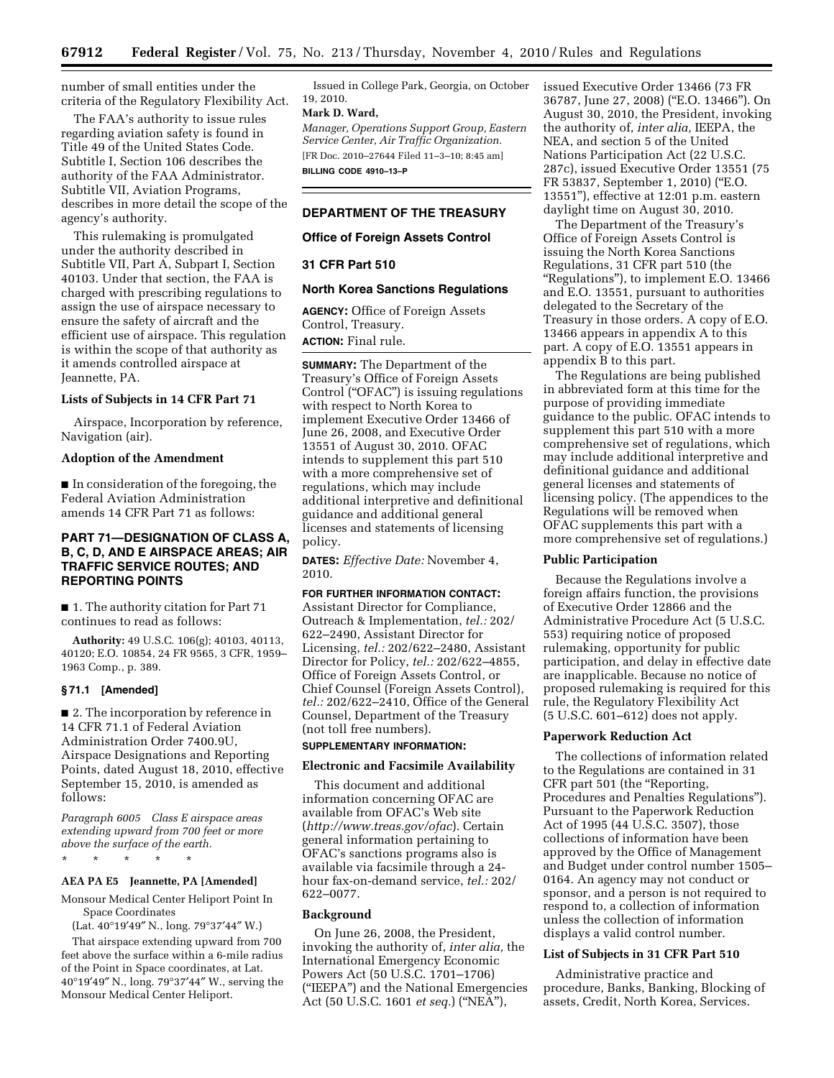number of small entities under the criteria of the Regulatory Flexibility Act.

The FAA's authority to issue rules regarding aviation safety is found in Title 49 of the United States Code. Subtitle I, Section 106 describes the authority of the FAA Administrator. Subtitle VII, Aviation Programs, describes in more detail the scope of the agency's authority.

This rulemaking is promulgated under the authority described in Subtitle VII, Part A, Subpart I, Section 40103. Under that section, the FAA is charged with prescribing regulations to assign the use of airspace necessary to ensure the safety of aircraft and the efficient use of airspace. This regulation is within the scope of that authority as it amends controlled airspace at Jeannette, PA.

### **Lists of Subjects in 14 CFR Part 71**

Airspace, Incorporation by reference, Navigation (air).

#### **Adoption of the Amendment**

■ In consideration of the foregoing, the Federal Aviation Administration amends 14 CFR Part 71 as follows:

# **PART 71—DESIGNATION OF CLASS A, B, C, D, AND E AIRSPACE AREAS; AIR TRAFFIC SERVICE ROUTES; AND REPORTING POINTS**

■ 1. The authority citation for Part 71 continues to read as follows:

**Authority:** 49 U.S.C. 106(g); 40103, 40113, 40120; E.O. 10854, 24 FR 9565, 3 CFR, 1959– 1963 Comp., p. 389.

#### **§ 71.1 [Amended]**

■ 2. The incorporation by reference in 14 CFR 71.1 of Federal Aviation Administration Order 7400.9U, Airspace Designations and Reporting Points, dated August 18, 2010, effective September 15, 2010, is amended as follows:

*Paragraph 6005 Class E airspace areas extending upward from 700 feet or more above the surface of the earth.* 

\* \* \* \* \*

# **AEA PA E5 Jeannette, PA [Amended]**

Monsour Medical Center Heliport Point In Space Coordinates

(Lat. 40°19′49″ N., long. 79°37′44″ W.)

That airspace extending upward from 700 feet above the surface within a 6-mile radius of the Point in Space coordinates, at Lat. 40°19′49″ N., long. 79°37′44″ W., serving the Monsour Medical Center Heliport.

Issued in College Park, Georgia, on October 19, 2010.

### **Mark D. Ward,**

*Manager, Operations Support Group, Eastern Service Center, Air Traffic Organization.*  [FR Doc. 2010–27644 Filed 11–3–10; 8:45 am] **BILLING CODE 4910–13–P** 

# **DEPARTMENT OF THE TREASURY**

# **Office of Foreign Assets Control**

### **31 CFR Part 510**

### **North Korea Sanctions Regulations**

**AGENCY:** Office of Foreign Assets Control, Treasury. **ACTION:** Final rule.

**SUMMARY:** The Department of the Treasury's Office of Foreign Assets Control (''OFAC'') is issuing regulations with respect to North Korea to implement Executive Order 13466 of June 26, 2008, and Executive Order 13551 of August 30, 2010. OFAC intends to supplement this part 510 with a more comprehensive set of regulations, which may include additional interpretive and definitional guidance and additional general licenses and statements of licensing policy.

**DATES:** *Effective Date:* November 4, 2010.

### **FOR FURTHER INFORMATION CONTACT:**

Assistant Director for Compliance, Outreach & Implementation, *tel.:* 202/ 622–2490, Assistant Director for Licensing, *tel.:* 202/622–2480, Assistant Director for Policy, *tel.:* 202/622–4855, Office of Foreign Assets Control, or Chief Counsel (Foreign Assets Control), *tel.:* 202/622–2410, Office of the General Counsel, Department of the Treasury (not toll free numbers).

# **SUPPLEMENTARY INFORMATION:**

# **Electronic and Facsimile Availability**

This document and additional information concerning OFAC are available from OFAC's Web site (*<http://www.treas.gov/ofac>*). Certain general information pertaining to OFAC's sanctions programs also is available via facsimile through a 24 hour fax-on-demand service, *tel.:* 202/ 622–0077.

#### **Background**

On June 26, 2008, the President, invoking the authority of, *inter alia,* the International Emergency Economic Powers Act (50 U.S.C. 1701–1706) (''IEEPA'') and the National Emergencies Act (50 U.S.C. 1601 *et seq.*) (''NEA''),

issued Executive Order 13466 (73 FR 36787, June 27, 2008) (''E.O. 13466''). On August 30, 2010, the President, invoking the authority of, *inter alia,* IEEPA, the NEA, and section 5 of the United Nations Participation Act (22 U.S.C. 287c), issued Executive Order 13551 (75 FR 53837, September 1, 2010) (''E.O. 13551''), effective at 12:01 p.m. eastern daylight time on August 30, 2010.

The Department of the Treasury's Office of Foreign Assets Control is issuing the North Korea Sanctions Regulations, 31 CFR part 510 (the "Regulations"), to implement E.O. 13466 and E.O. 13551, pursuant to authorities delegated to the Secretary of the Treasury in those orders. A copy of E.O. 13466 appears in appendix A to this part. A copy of E.O. 13551 appears in appendix B to this part.

The Regulations are being published in abbreviated form at this time for the purpose of providing immediate guidance to the public. OFAC intends to supplement this part 510 with a more comprehensive set of regulations, which may include additional interpretive and definitional guidance and additional general licenses and statements of licensing policy. (The appendices to the Regulations will be removed when OFAC supplements this part with a more comprehensive set of regulations.)

### **Public Participation**

Because the Regulations involve a foreign affairs function, the provisions of Executive Order 12866 and the Administrative Procedure Act (5 U.S.C. 553) requiring notice of proposed rulemaking, opportunity for public participation, and delay in effective date are inapplicable. Because no notice of proposed rulemaking is required for this rule, the Regulatory Flexibility Act (5 U.S.C. 601–612) does not apply.

### **Paperwork Reduction Act**

The collections of information related to the Regulations are contained in 31 CFR part 501 (the ''Reporting, Procedures and Penalties Regulations''). Pursuant to the Paperwork Reduction Act of 1995 (44 U.S.C. 3507), those collections of information have been approved by the Office of Management and Budget under control number 1505– 0164. An agency may not conduct or sponsor, and a person is not required to respond to, a collection of information unless the collection of information displays a valid control number.

#### **List of Subjects in 31 CFR Part 510**

Administrative practice and procedure, Banks, Banking, Blocking of assets, Credit, North Korea, Services.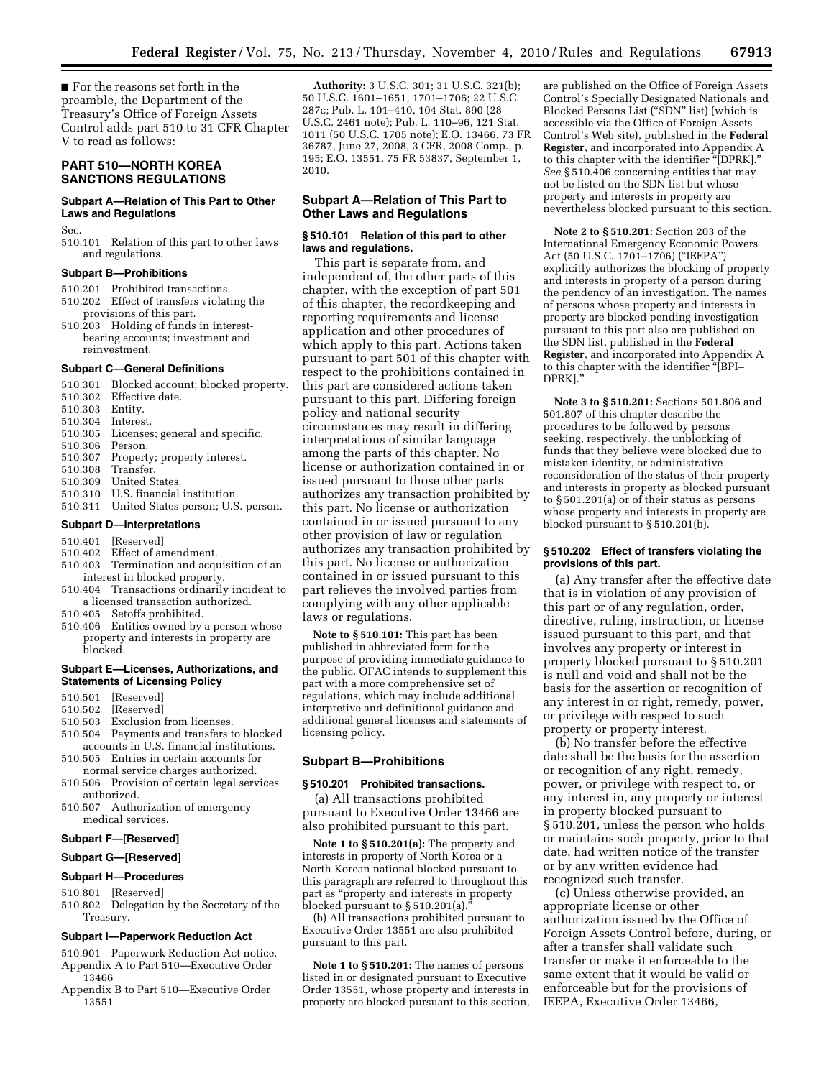■ For the reasons set forth in the preamble, the Department of the Treasury's Office of Foreign Assets Control adds part 510 to 31 CFR Chapter V to read as follows:

# **PART 510—NORTH KOREA SANCTIONS REGULATIONS**

# **Subpart A—Relation of This Part to Other Laws and Regulations**

Sec.

510.101 Relation of this part to other laws and regulations.

#### **Subpart B—Prohibitions**

- 510.201 Prohibited transactions.
- 510.202 Effect of transfers violating the
- provisions of this part. 510.203 Holding of funds in interest-
- bearing accounts; investment and reinvestment.

#### **Subpart C—General Definitions**

| 510.301                          | Blocked account; blocked property.  |
|----------------------------------|-------------------------------------|
| 510.302                          | Effective date.                     |
| 510.303                          | Entity.                             |
| 510.304                          | Interest.                           |
| 510.305                          | Licenses; general and specific.     |
| 510.306                          | Person.                             |
| 510.307                          | Property; property interest.        |
| 510.308                          | Transfer.                           |
| 510.309                          | United States.                      |
| 510.310                          | U.S. financial institution.         |
| 510.311                          | United States person; U.S. person.  |
| <b>Subpart D-Interpretations</b> |                                     |
| 510.401                          | [Reserved]                          |
| 510.402                          | Effect of amendment.                |
| 510.403                          | Termination and acquisition of an   |
| interest in blocked property.    |                                     |
| 510.404                          | Transactions ordinarily incident to |

- a licensed transaction authorized.
- 510.405 Setoffs prohibited.
- 510.406 Entities owned by a person whose property and interests in property are blocked.

# **Subpart E—Licenses, Authorizations, and Statements of Licensing Policy**

- 510.501 [Reserved]
- 510.502 [Reserved]
- 510.503 Exclusion from licenses.
- 510.504 Payments and transfers to blocked accounts in U.S. financial institutions.
- 510.505 Entries in certain accounts for normal service charges authorized.
- 510.506 Provision of certain legal services authorized.
- 510.507 Authorization of emergency medical services.

#### **Subpart F—[Reserved]**

#### **Subpart G—[Reserved]**

### **Subpart H—Procedures**

- 510.801 [Reserved]
- 510.802 Delegation by the Secretary of the Treasury.

#### **Subpart I—Paperwork Reduction Act**

- 510.901 Paperwork Reduction Act notice. Appendix A to Part 510—Executive Order 13466
- Appendix B to Part 510—Executive Order 13551

**Authority:** 3 U.S.C. 301; 31 U.S.C. 321(b); 50 U.S.C. 1601–1651, 1701–1706; 22 U.S.C. 287c; Pub. L. 101–410, 104 Stat. 890 (28 U.S.C. 2461 note); Pub. L. 110–96, 121 Stat. 1011 (50 U.S.C. 1705 note); E.O. 13466, 73 FR 36787, June 27, 2008, 3 CFR, 2008 Comp., p. 195; E.O. 13551, 75 FR 53837, September 1, 2010.

## **Subpart A—Relation of This Part to Other Laws and Regulations**

#### **§ 510.101 Relation of this part to other laws and regulations.**

This part is separate from, and independent of, the other parts of this chapter, with the exception of part 501 of this chapter, the recordkeeping and reporting requirements and license application and other procedures of which apply to this part. Actions taken pursuant to part 501 of this chapter with respect to the prohibitions contained in this part are considered actions taken pursuant to this part. Differing foreign policy and national security circumstances may result in differing interpretations of similar language among the parts of this chapter. No license or authorization contained in or issued pursuant to those other parts authorizes any transaction prohibited by this part. No license or authorization contained in or issued pursuant to any other provision of law or regulation authorizes any transaction prohibited by this part. No license or authorization contained in or issued pursuant to this part relieves the involved parties from complying with any other applicable laws or regulations.

**Note to § 510.101:** This part has been published in abbreviated form for the purpose of providing immediate guidance to the public. OFAC intends to supplement this part with a more comprehensive set of regulations, which may include additional interpretive and definitional guidance and additional general licenses and statements of licensing policy.

# **Subpart B—Prohibitions**

# **§ 510.201 Prohibited transactions.**

(a) All transactions prohibited pursuant to Executive Order 13466 are also prohibited pursuant to this part.

**Note 1 to § 510.201(a):** The property and interests in property of North Korea or a North Korean national blocked pursuant to this paragraph are referred to throughout this part as ''property and interests in property blocked pursuant to § 510.201(a).''

(b) All transactions prohibited pursuant to Executive Order 13551 are also prohibited pursuant to this part.

**Note 1 to § 510.201:** The names of persons listed in or designated pursuant to Executive Order 13551, whose property and interests in property are blocked pursuant to this section, are published on the Office of Foreign Assets Control's Specially Designated Nationals and Blocked Persons List (''SDN'' list) (which is accessible via the Office of Foreign Assets Control's Web site), published in the **Federal Register**, and incorporated into Appendix A to this chapter with the identifier ''[DPRK].'' *See* § 510.406 concerning entities that may not be listed on the SDN list but whose property and interests in property are nevertheless blocked pursuant to this section.

**Note 2 to § 510.201:** Section 203 of the International Emergency Economic Powers Act (50 U.S.C. 1701–1706) (''IEEPA'') explicitly authorizes the blocking of property and interests in property of a person during the pendency of an investigation. The names of persons whose property and interests in property are blocked pending investigation pursuant to this part also are published on the SDN list, published in the **Federal Register**, and incorporated into Appendix A to this chapter with the identifier ''[BPI– DPRK].''

**Note 3 to § 510.201:** Sections 501.806 and 501.807 of this chapter describe the procedures to be followed by persons seeking, respectively, the unblocking of funds that they believe were blocked due to mistaken identity, or administrative reconsideration of the status of their property and interests in property as blocked pursuant to § 501.201(a) or of their status as persons whose property and interests in property are blocked pursuant to § 510.201(b).

# **§ 510.202 Effect of transfers violating the provisions of this part.**

(a) Any transfer after the effective date that is in violation of any provision of this part or of any regulation, order, directive, ruling, instruction, or license issued pursuant to this part, and that involves any property or interest in property blocked pursuant to § 510.201 is null and void and shall not be the basis for the assertion or recognition of any interest in or right, remedy, power, or privilege with respect to such property or property interest.

(b) No transfer before the effective date shall be the basis for the assertion or recognition of any right, remedy, power, or privilege with respect to, or any interest in, any property or interest in property blocked pursuant to § 510.201, unless the person who holds or maintains such property, prior to that date, had written notice of the transfer or by any written evidence had recognized such transfer.

(c) Unless otherwise provided, an appropriate license or other authorization issued by the Office of Foreign Assets Control before, during, or after a transfer shall validate such transfer or make it enforceable to the same extent that it would be valid or enforceable but for the provisions of IEEPA, Executive Order 13466,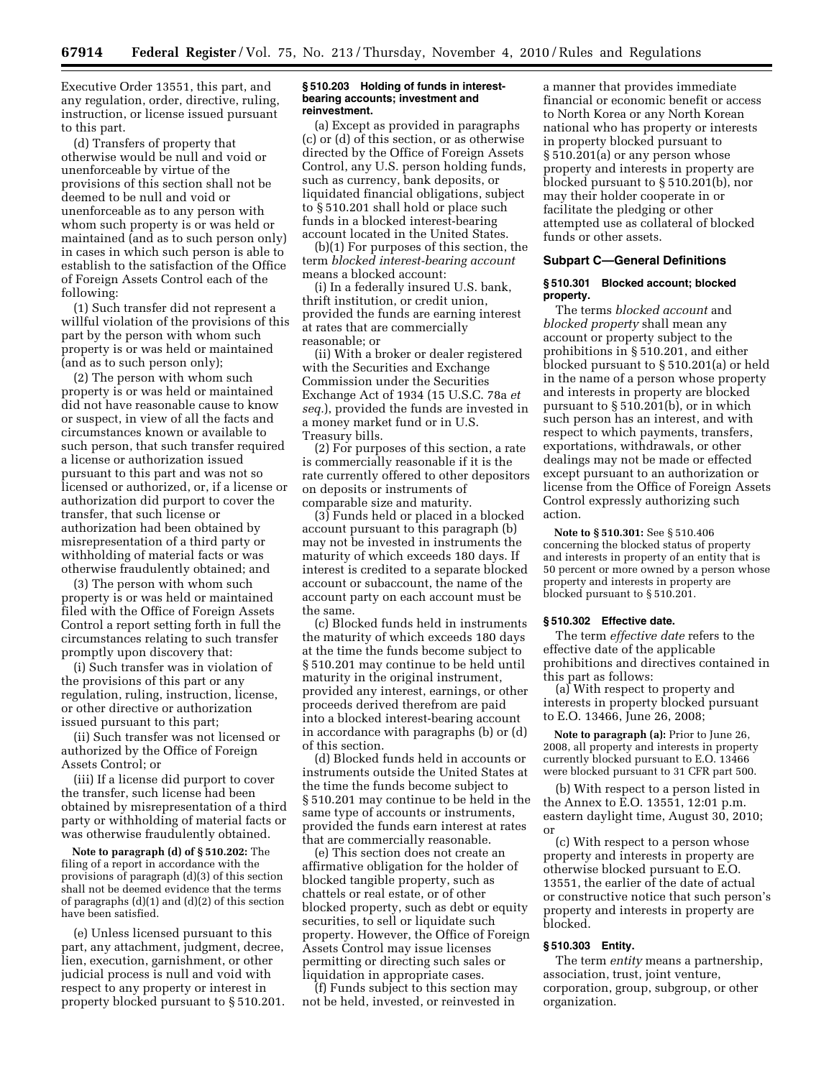Executive Order 13551, this part, and any regulation, order, directive, ruling, instruction, or license issued pursuant to this part.

(d) Transfers of property that otherwise would be null and void or unenforceable by virtue of the provisions of this section shall not be deemed to be null and void or unenforceable as to any person with whom such property is or was held or maintained (and as to such person only) in cases in which such person is able to establish to the satisfaction of the Office of Foreign Assets Control each of the following:

(1) Such transfer did not represent a willful violation of the provisions of this part by the person with whom such property is or was held or maintained (and as to such person only);

(2) The person with whom such property is or was held or maintained did not have reasonable cause to know or suspect, in view of all the facts and circumstances known or available to such person, that such transfer required a license or authorization issued pursuant to this part and was not so licensed or authorized, or, if a license or authorization did purport to cover the transfer, that such license or authorization had been obtained by misrepresentation of a third party or withholding of material facts or was otherwise fraudulently obtained; and

(3) The person with whom such property is or was held or maintained filed with the Office of Foreign Assets Control a report setting forth in full the circumstances relating to such transfer promptly upon discovery that:

(i) Such transfer was in violation of the provisions of this part or any regulation, ruling, instruction, license, or other directive or authorization issued pursuant to this part;

(ii) Such transfer was not licensed or authorized by the Office of Foreign Assets Control; or

(iii) If a license did purport to cover the transfer, such license had been obtained by misrepresentation of a third party or withholding of material facts or was otherwise fraudulently obtained.

**Note to paragraph (d) of § 510.202:** The filing of a report in accordance with the provisions of paragraph (d)(3) of this section shall not be deemed evidence that the terms of paragraphs (d)(1) and (d)(2) of this section have been satisfied.

(e) Unless licensed pursuant to this part, any attachment, judgment, decree, lien, execution, garnishment, or other judicial process is null and void with respect to any property or interest in property blocked pursuant to § 510.201.

#### **§ 510.203 Holding of funds in interestbearing accounts; investment and reinvestment.**

(a) Except as provided in paragraphs (c) or (d) of this section, or as otherwise directed by the Office of Foreign Assets Control, any U.S. person holding funds, such as currency, bank deposits, or liquidated financial obligations, subject to § 510.201 shall hold or place such funds in a blocked interest-bearing account located in the United States.

(b)(1) For purposes of this section, the term *blocked interest-bearing account*  means a blocked account:

(i) In a federally insured U.S. bank, thrift institution, or credit union, provided the funds are earning interest at rates that are commercially reasonable; or

(ii) With a broker or dealer registered with the Securities and Exchange Commission under the Securities Exchange Act of 1934 (15 U.S.C. 78a *et seq.*), provided the funds are invested in a money market fund or in U.S. Treasury bills.

(2) For purposes of this section, a rate is commercially reasonable if it is the rate currently offered to other depositors on deposits or instruments of comparable size and maturity.

(3) Funds held or placed in a blocked account pursuant to this paragraph (b) may not be invested in instruments the maturity of which exceeds 180 days. If interest is credited to a separate blocked account or subaccount, the name of the account party on each account must be the same.

(c) Blocked funds held in instruments the maturity of which exceeds 180 days at the time the funds become subject to § 510.201 may continue to be held until maturity in the original instrument, provided any interest, earnings, or other proceeds derived therefrom are paid into a blocked interest-bearing account in accordance with paragraphs (b) or (d) of this section.

(d) Blocked funds held in accounts or instruments outside the United States at the time the funds become subject to § 510.201 may continue to be held in the same type of accounts or instruments, provided the funds earn interest at rates that are commercially reasonable.

(e) This section does not create an affirmative obligation for the holder of blocked tangible property, such as chattels or real estate, or of other blocked property, such as debt or equity securities, to sell or liquidate such property. However, the Office of Foreign Assets Control may issue licenses permitting or directing such sales or liquidation in appropriate cases.

(f) Funds subject to this section may not be held, invested, or reinvested in

a manner that provides immediate financial or economic benefit or access to North Korea or any North Korean national who has property or interests in property blocked pursuant to § 510.201(a) or any person whose property and interests in property are blocked pursuant to § 510.201(b), nor may their holder cooperate in or facilitate the pledging or other attempted use as collateral of blocked funds or other assets.

### **Subpart C—General Definitions**

### **§ 510.301 Blocked account; blocked property.**

The terms *blocked account* and *blocked property* shall mean any account or property subject to the prohibitions in § 510.201, and either blocked pursuant to § 510.201(a) or held in the name of a person whose property and interests in property are blocked pursuant to § 510.201(b), or in which such person has an interest, and with respect to which payments, transfers, exportations, withdrawals, or other dealings may not be made or effected except pursuant to an authorization or license from the Office of Foreign Assets Control expressly authorizing such action.

**Note to § 510.301:** See § 510.406 concerning the blocked status of property and interests in property of an entity that is 50 percent or more owned by a person whose property and interests in property are blocked pursuant to § 510.201.

### **§ 510.302 Effective date.**

The term *effective date* refers to the effective date of the applicable prohibitions and directives contained in this part as follows:

(a) With respect to property and interests in property blocked pursuant to E.O. 13466, June 26, 2008;

**Note to paragraph (a):** Prior to June 26, 2008, all property and interests in property currently blocked pursuant to E.O. 13466 were blocked pursuant to 31 CFR part 500.

(b) With respect to a person listed in the Annex to E.O. 13551, 12:01 p.m. eastern daylight time, August 30, 2010; or

(c) With respect to a person whose property and interests in property are otherwise blocked pursuant to E.O. 13551, the earlier of the date of actual or constructive notice that such person's property and interests in property are blocked.

# **§ 510.303 Entity.**

The term *entity* means a partnership, association, trust, joint venture, corporation, group, subgroup, or other organization.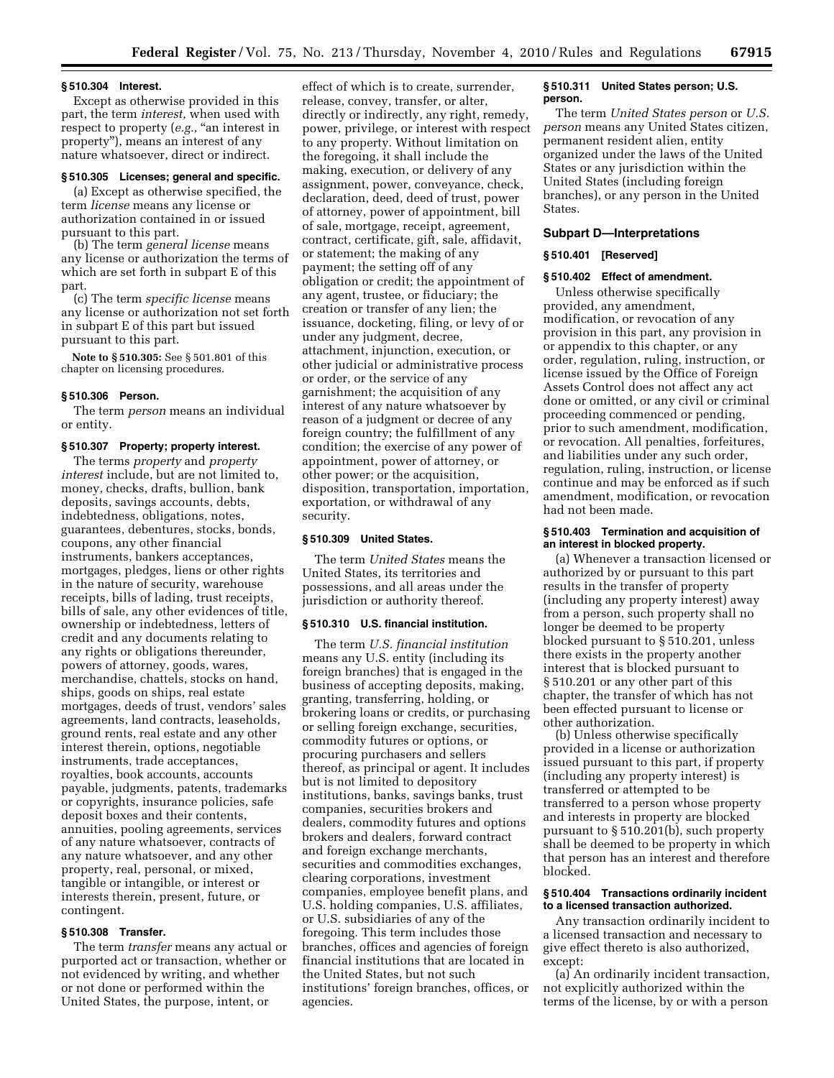#### **§ 510.304 Interest.**

Except as otherwise provided in this part, the term *interest,* when used with respect to property (e.g., "an interest in property''), means an interest of any nature whatsoever, direct or indirect.

# **§ 510.305 Licenses; general and specific.**

(a) Except as otherwise specified, the term *license* means any license or authorization contained in or issued pursuant to this part.

(b) The term *general license* means any license or authorization the terms of which are set forth in subpart E of this part.

(c) The term *specific license* means any license or authorization not set forth in subpart E of this part but issued pursuant to this part.

**Note to § 510.305:** See § 501.801 of this chapter on licensing procedures.

#### **§ 510.306 Person.**

The term *person* means an individual or entity.

### **§ 510.307 Property; property interest.**

The terms *property* and *property interest* include, but are not limited to, money, checks, drafts, bullion, bank deposits, savings accounts, debts, indebtedness, obligations, notes, guarantees, debentures, stocks, bonds, coupons, any other financial instruments, bankers acceptances, mortgages, pledges, liens or other rights in the nature of security, warehouse receipts, bills of lading, trust receipts, bills of sale, any other evidences of title, ownership or indebtedness, letters of credit and any documents relating to any rights or obligations thereunder, powers of attorney, goods, wares, merchandise, chattels, stocks on hand, ships, goods on ships, real estate mortgages, deeds of trust, vendors' sales agreements, land contracts, leaseholds, ground rents, real estate and any other interest therein, options, negotiable instruments, trade acceptances, royalties, book accounts, accounts payable, judgments, patents, trademarks or copyrights, insurance policies, safe deposit boxes and their contents, annuities, pooling agreements, services of any nature whatsoever, contracts of any nature whatsoever, and any other property, real, personal, or mixed, tangible or intangible, or interest or interests therein, present, future, or contingent.

## **§ 510.308 Transfer.**

The term *transfer* means any actual or purported act or transaction, whether or not evidenced by writing, and whether or not done or performed within the United States, the purpose, intent, or

effect of which is to create, surrender, release, convey, transfer, or alter, directly or indirectly, any right, remedy, power, privilege, or interest with respect to any property. Without limitation on the foregoing, it shall include the making, execution, or delivery of any assignment, power, conveyance, check, declaration, deed, deed of trust, power of attorney, power of appointment, bill of sale, mortgage, receipt, agreement, contract, certificate, gift, sale, affidavit, or statement; the making of any payment; the setting off of any obligation or credit; the appointment of any agent, trustee, or fiduciary; the creation or transfer of any lien; the issuance, docketing, filing, or levy of or under any judgment, decree, attachment, injunction, execution, or other judicial or administrative process or order, or the service of any garnishment; the acquisition of any interest of any nature whatsoever by reason of a judgment or decree of any foreign country; the fulfillment of any condition; the exercise of any power of appointment, power of attorney, or other power; or the acquisition, disposition, transportation, importation, exportation, or withdrawal of any security.

### **§ 510.309 United States.**

The term *United States* means the United States, its territories and possessions, and all areas under the jurisdiction or authority thereof.

#### **§ 510.310 U.S. financial institution.**

The term *U.S. financial institution*  means any U.S. entity (including its foreign branches) that is engaged in the business of accepting deposits, making, granting, transferring, holding, or brokering loans or credits, or purchasing or selling foreign exchange, securities, commodity futures or options, or procuring purchasers and sellers thereof, as principal or agent. It includes but is not limited to depository institutions, banks, savings banks, trust companies, securities brokers and dealers, commodity futures and options brokers and dealers, forward contract and foreign exchange merchants, securities and commodities exchanges, clearing corporations, investment companies, employee benefit plans, and U.S. holding companies, U.S. affiliates, or U.S. subsidiaries of any of the foregoing. This term includes those branches, offices and agencies of foreign financial institutions that are located in the United States, but not such institutions' foreign branches, offices, or agencies.

#### **§ 510.311 United States person; U.S. person.**

The term *United States person* or *U.S. person* means any United States citizen, permanent resident alien, entity organized under the laws of the United States or any jurisdiction within the United States (including foreign branches), or any person in the United States.

### **Subpart D—Interpretations**

### **§ 510.401 [Reserved]**

### **§ 510.402 Effect of amendment.**

Unless otherwise specifically provided, any amendment, modification, or revocation of any provision in this part, any provision in or appendix to this chapter, or any order, regulation, ruling, instruction, or license issued by the Office of Foreign Assets Control does not affect any act done or omitted, or any civil or criminal proceeding commenced or pending, prior to such amendment, modification, or revocation. All penalties, forfeitures, and liabilities under any such order, regulation, ruling, instruction, or license continue and may be enforced as if such amendment, modification, or revocation had not been made.

### **§ 510.403 Termination and acquisition of an interest in blocked property.**

(a) Whenever a transaction licensed or authorized by or pursuant to this part results in the transfer of property (including any property interest) away from a person, such property shall no longer be deemed to be property blocked pursuant to § 510.201, unless there exists in the property another interest that is blocked pursuant to § 510.201 or any other part of this chapter, the transfer of which has not been effected pursuant to license or other authorization.

(b) Unless otherwise specifically provided in a license or authorization issued pursuant to this part, if property (including any property interest) is transferred or attempted to be transferred to a person whose property and interests in property are blocked pursuant to § 510.201(b), such property shall be deemed to be property in which that person has an interest and therefore blocked.

### **§ 510.404 Transactions ordinarily incident to a licensed transaction authorized.**

Any transaction ordinarily incident to a licensed transaction and necessary to give effect thereto is also authorized, except:

(a) An ordinarily incident transaction, not explicitly authorized within the terms of the license, by or with a person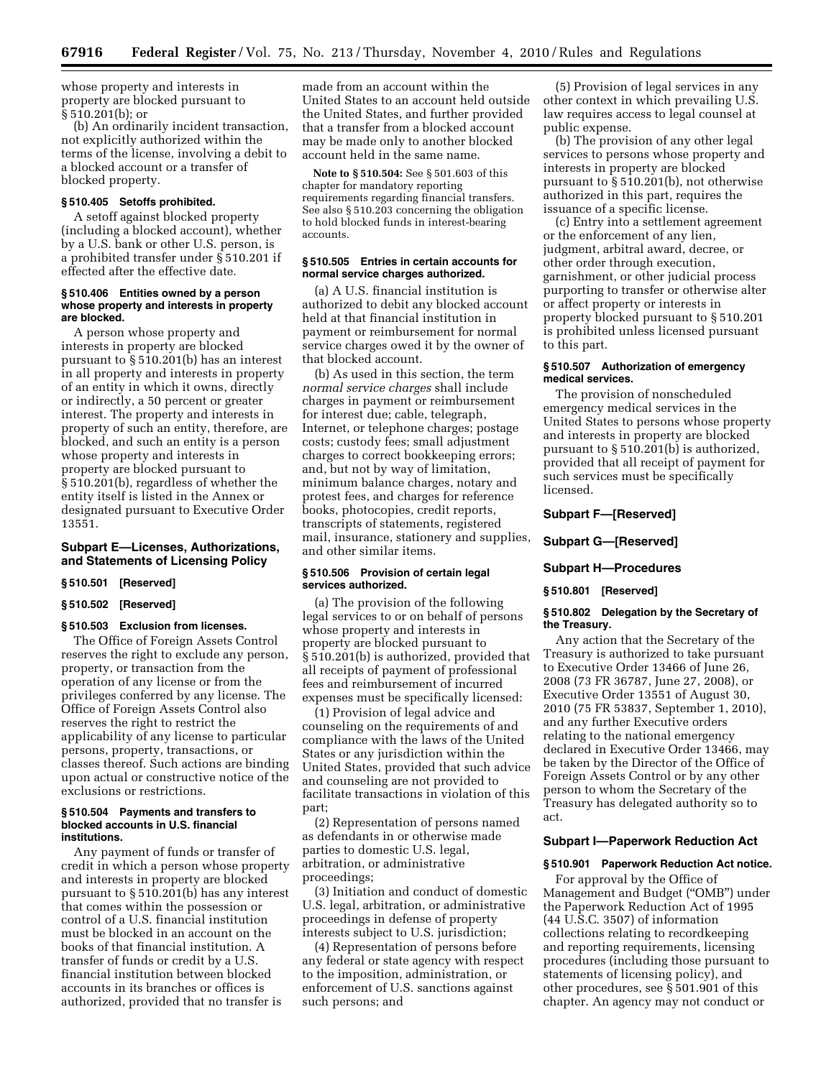whose property and interests in property are blocked pursuant to § 510.201(b); or

(b) An ordinarily incident transaction, not explicitly authorized within the terms of the license, involving a debit to a blocked account or a transfer of blocked property.

#### **§ 510.405 Setoffs prohibited.**

A setoff against blocked property (including a blocked account), whether by a U.S. bank or other U.S. person, is a prohibited transfer under § 510.201 if effected after the effective date.

#### **§ 510.406 Entities owned by a person whose property and interests in property are blocked.**

A person whose property and interests in property are blocked pursuant to § 510.201(b) has an interest in all property and interests in property of an entity in which it owns, directly or indirectly, a 50 percent or greater interest. The property and interests in property of such an entity, therefore, are blocked, and such an entity is a person whose property and interests in property are blocked pursuant to § 510.201(b), regardless of whether the entity itself is listed in the Annex or designated pursuant to Executive Order 13551.

### **Subpart E—Licenses, Authorizations, and Statements of Licensing Policy**

# **§ 510.501 [Reserved]**

# **§ 510.502 [Reserved]**

### **§ 510.503 Exclusion from licenses.**

The Office of Foreign Assets Control reserves the right to exclude any person, property, or transaction from the operation of any license or from the privileges conferred by any license. The Office of Foreign Assets Control also reserves the right to restrict the applicability of any license to particular persons, property, transactions, or classes thereof. Such actions are binding upon actual or constructive notice of the exclusions or restrictions.

#### **§ 510.504 Payments and transfers to blocked accounts in U.S. financial institutions.**

Any payment of funds or transfer of credit in which a person whose property and interests in property are blocked pursuant to § 510.201(b) has any interest that comes within the possession or control of a U.S. financial institution must be blocked in an account on the books of that financial institution. A transfer of funds or credit by a U.S. financial institution between blocked accounts in its branches or offices is authorized, provided that no transfer is

made from an account within the United States to an account held outside the United States, and further provided that a transfer from a blocked account may be made only to another blocked account held in the same name.

**Note to § 510.504:** See § 501.603 of this chapter for mandatory reporting requirements regarding financial transfers. See also § 510.203 concerning the obligation to hold blocked funds in interest-bearing accounts.

### **§ 510.505 Entries in certain accounts for normal service charges authorized.**

(a) A U.S. financial institution is authorized to debit any blocked account held at that financial institution in payment or reimbursement for normal service charges owed it by the owner of that blocked account.

(b) As used in this section, the term *normal service charges* shall include charges in payment or reimbursement for interest due; cable, telegraph, Internet, or telephone charges; postage costs; custody fees; small adjustment charges to correct bookkeeping errors; and, but not by way of limitation, minimum balance charges, notary and protest fees, and charges for reference books, photocopies, credit reports, transcripts of statements, registered mail, insurance, stationery and supplies, and other similar items.

#### **§ 510.506 Provision of certain legal services authorized.**

(a) The provision of the following legal services to or on behalf of persons whose property and interests in property are blocked pursuant to § 510.201(b) is authorized, provided that all receipts of payment of professional fees and reimbursement of incurred expenses must be specifically licensed:

(1) Provision of legal advice and counseling on the requirements of and compliance with the laws of the United States or any jurisdiction within the United States, provided that such advice and counseling are not provided to facilitate transactions in violation of this part;

(2) Representation of persons named as defendants in or otherwise made parties to domestic U.S. legal, arbitration, or administrative proceedings;

(3) Initiation and conduct of domestic U.S. legal, arbitration, or administrative proceedings in defense of property interests subject to U.S. jurisdiction;

(4) Representation of persons before any federal or state agency with respect to the imposition, administration, or enforcement of U.S. sanctions against such persons; and

(5) Provision of legal services in any other context in which prevailing U.S. law requires access to legal counsel at public expense.

(b) The provision of any other legal services to persons whose property and interests in property are blocked pursuant to § 510.201(b), not otherwise authorized in this part, requires the issuance of a specific license.

(c) Entry into a settlement agreement or the enforcement of any lien, judgment, arbitral award, decree, or other order through execution, garnishment, or other judicial process purporting to transfer or otherwise alter or affect property or interests in property blocked pursuant to § 510.201 is prohibited unless licensed pursuant to this part.

### **§ 510.507 Authorization of emergency medical services.**

The provision of nonscheduled emergency medical services in the United States to persons whose property and interests in property are blocked pursuant to § 510.201(b) is authorized, provided that all receipt of payment for such services must be specifically licensed.

# **Subpart F—[Reserved]**

#### **Subpart G—[Reserved]**

# **Subpart H—Procedures**

### **§ 510.801 [Reserved]**

### **§ 510.802 Delegation by the Secretary of the Treasury.**

Any action that the Secretary of the Treasury is authorized to take pursuant to Executive Order 13466 of June 26, 2008 (73 FR 36787, June 27, 2008), or Executive Order 13551 of August 30, 2010 (75 FR 53837, September 1, 2010), and any further Executive orders relating to the national emergency declared in Executive Order 13466, may be taken by the Director of the Office of Foreign Assets Control or by any other person to whom the Secretary of the Treasury has delegated authority so to act.

### **Subpart I—Paperwork Reduction Act**

#### **§ 510.901 Paperwork Reduction Act notice.**

For approval by the Office of Management and Budget (''OMB'') under the Paperwork Reduction Act of 1995 (44 U.S.C. 3507) of information collections relating to recordkeeping and reporting requirements, licensing procedures (including those pursuant to statements of licensing policy), and other procedures, see § 501.901 of this chapter. An agency may not conduct or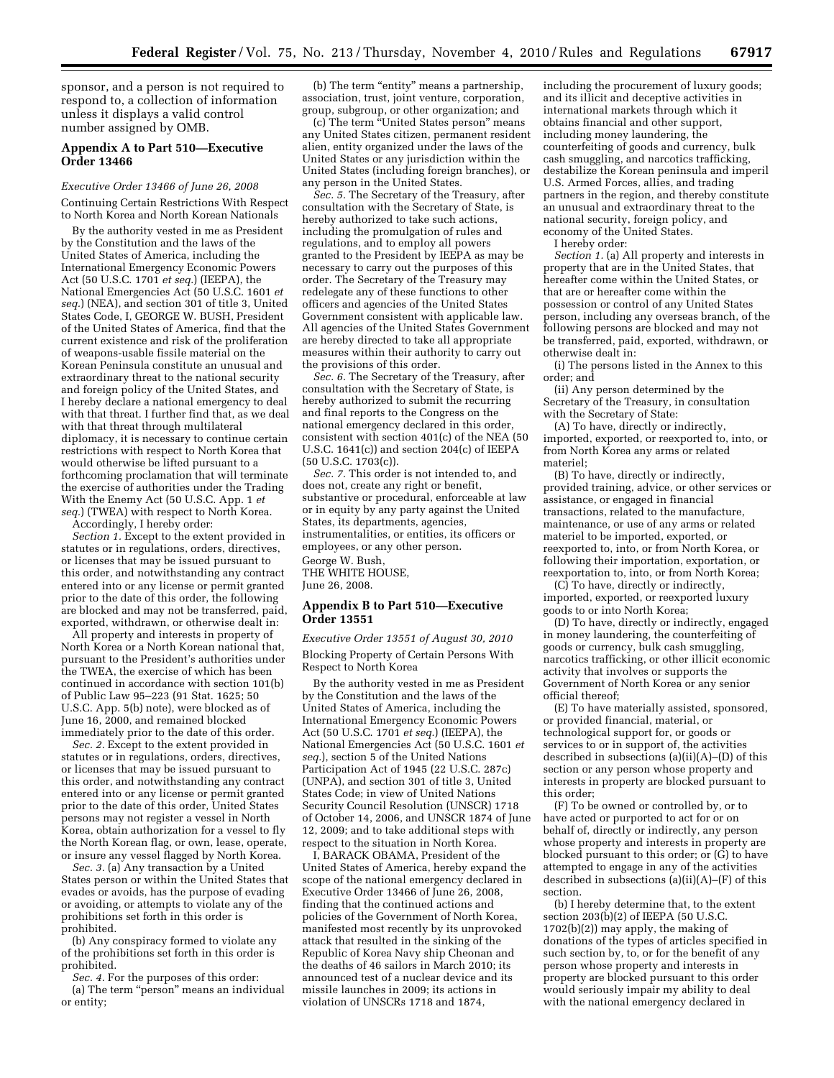sponsor, and a person is not required to respond to, a collection of information unless it displays a valid control number assigned by OMB.

# **Appendix A to Part 510—Executive Order 13466**

## *Executive Order 13466 of June 26, 2008*

Continuing Certain Restrictions With Respect to North Korea and North Korean Nationals

By the authority vested in me as President by the Constitution and the laws of the United States of America, including the International Emergency Economic Powers Act (50 U.S.C. 1701 *et seq.*) (IEEPA), the National Emergencies Act (50 U.S.C. 1601 *et seq.*) (NEA), and section 301 of title 3, United States Code, I, GEORGE W. BUSH, President of the United States of America, find that the current existence and risk of the proliferation of weapons-usable fissile material on the Korean Peninsula constitute an unusual and extraordinary threat to the national security and foreign policy of the United States, and I hereby declare a national emergency to deal with that threat. I further find that, as we deal with that threat through multilateral diplomacy, it is necessary to continue certain restrictions with respect to North Korea that would otherwise be lifted pursuant to a forthcoming proclamation that will terminate the exercise of authorities under the Trading With the Enemy Act (50 U.S.C. App. 1 *et seq.*) (TWEA) with respect to North Korea.

Accordingly, I hereby order:

*Section 1.* Except to the extent provided in statutes or in regulations, orders, directives, or licenses that may be issued pursuant to this order, and notwithstanding any contract entered into or any license or permit granted prior to the date of this order, the following are blocked and may not be transferred, paid, exported, withdrawn, or otherwise dealt in:

All property and interests in property of North Korea or a North Korean national that, pursuant to the President's authorities under the TWEA, the exercise of which has been continued in accordance with section 101(b) of Public Law 95–223 (91 Stat. 1625; 50 U.S.C. App. 5(b) note), were blocked as of June 16, 2000, and remained blocked immediately prior to the date of this order.

*Sec. 2.* Except to the extent provided in statutes or in regulations, orders, directives, or licenses that may be issued pursuant to this order, and notwithstanding any contract entered into or any license or permit granted prior to the date of this order, United States persons may not register a vessel in North Korea, obtain authorization for a vessel to fly the North Korean flag, or own, lease, operate, or insure any vessel flagged by North Korea.

*Sec. 3.* (a) Any transaction by a United States person or within the United States that evades or avoids, has the purpose of evading or avoiding, or attempts to violate any of the prohibitions set forth in this order is prohibited.

(b) Any conspiracy formed to violate any of the prohibitions set forth in this order is prohibited.

*Sec. 4.* For the purposes of this order: (a) The term ''person'' means an individual or entity;

(b) The term "entity" means a partnership, association, trust, joint venture, corporation, group, subgroup, or other organization; and

(c) The term ''United States person'' means any United States citizen, permanent resident alien, entity organized under the laws of the United States or any jurisdiction within the United States (including foreign branches), or any person in the United States.

*Sec. 5.* The Secretary of the Treasury, after consultation with the Secretary of State, is hereby authorized to take such actions, including the promulgation of rules and regulations, and to employ all powers granted to the President by IEEPA as may be necessary to carry out the purposes of this order. The Secretary of the Treasury may redelegate any of these functions to other officers and agencies of the United States Government consistent with applicable law. All agencies of the United States Government are hereby directed to take all appropriate measures within their authority to carry out the provisions of this order.

*Sec. 6.* The Secretary of the Treasury, after consultation with the Secretary of State, is hereby authorized to submit the recurring and final reports to the Congress on the national emergency declared in this order, consistent with section 401(c) of the NEA (50 U.S.C. 1641(c)) and section 204(c) of IEEPA (50 U.S.C. 1703(c)).

*Sec. 7.* This order is not intended to, and does not, create any right or benefit, substantive or procedural, enforceable at law or in equity by any party against the United States, its departments, agencies, instrumentalities, or entities, its officers or employees, or any other person. George W. Bush, THE WHITE HOUSE, June 26, 2008.

### **Appendix B to Part 510—Executive Order 13551**

*Executive Order 13551 of August 30, 2010*  Blocking Property of Certain Persons With Respect to North Korea

By the authority vested in me as President by the Constitution and the laws of the United States of America, including the International Emergency Economic Powers Act (50 U.S.C. 1701 *et seq.*) (IEEPA), the National Emergencies Act (50 U.S.C. 1601 *et seq.*), section 5 of the United Nations Participation Act of 1945 (22 U.S.C. 287c) (UNPA), and section 301 of title 3, United States Code; in view of United Nations Security Council Resolution (UNSCR) 1718 of October 14, 2006, and UNSCR 1874 of June 12, 2009; and to take additional steps with respect to the situation in North Korea.

I, BARACK OBAMA, President of the United States of America, hereby expand the scope of the national emergency declared in Executive Order 13466 of June 26, 2008, finding that the continued actions and policies of the Government of North Korea, manifested most recently by its unprovoked attack that resulted in the sinking of the Republic of Korea Navy ship Cheonan and the deaths of 46 sailors in March 2010; its announced test of a nuclear device and its missile launches in 2009; its actions in violation of UNSCRs 1718 and 1874,

including the procurement of luxury goods; and its illicit and deceptive activities in international markets through which it obtains financial and other support, including money laundering, the counterfeiting of goods and currency, bulk cash smuggling, and narcotics trafficking, destabilize the Korean peninsula and imperil U.S. Armed Forces, allies, and trading partners in the region, and thereby constitute an unusual and extraordinary threat to the national security, foreign policy, and economy of the United States.

I hereby order:

*Section 1.* (a) All property and interests in property that are in the United States, that hereafter come within the United States, or that are or hereafter come within the possession or control of any United States person, including any overseas branch, of the following persons are blocked and may not be transferred, paid, exported, withdrawn, or otherwise dealt in:

(i) The persons listed in the Annex to this order; and

(ii) Any person determined by the Secretary of the Treasury, in consultation with the Secretary of State:

(A) To have, directly or indirectly, imported, exported, or reexported to, into, or from North Korea any arms or related materiel;

(B) To have, directly or indirectly, provided training, advice, or other services or assistance, or engaged in financial transactions, related to the manufacture, maintenance, or use of any arms or related materiel to be imported, exported, or reexported to, into, or from North Korea, or following their importation, exportation, or reexportation to, into, or from North Korea;

(C) To have, directly or indirectly, imported, exported, or reexported luxury goods to or into North Korea;

(D) To have, directly or indirectly, engaged in money laundering, the counterfeiting of goods or currency, bulk cash smuggling, narcotics trafficking, or other illicit economic activity that involves or supports the Government of North Korea or any senior official thereof;

(E) To have materially assisted, sponsored, or provided financial, material, or technological support for, or goods or services to or in support of, the activities described in subsections (a)(ii)(A)–(D) of this section or any person whose property and interests in property are blocked pursuant to this order;

(F) To be owned or controlled by, or to have acted or purported to act for or on behalf of, directly or indirectly, any person whose property and interests in property are blocked pursuant to this order; or (G) to have attempted to engage in any of the activities described in subsections (a)(ii)(A)–(F) of this section.

(b) I hereby determine that, to the extent section  $203(b)(2)$  of IEEPA (50 U.S.C. 1702(b)(2)) may apply, the making of donations of the types of articles specified in such section by, to, or for the benefit of any person whose property and interests in property are blocked pursuant to this order would seriously impair my ability to deal with the national emergency declared in